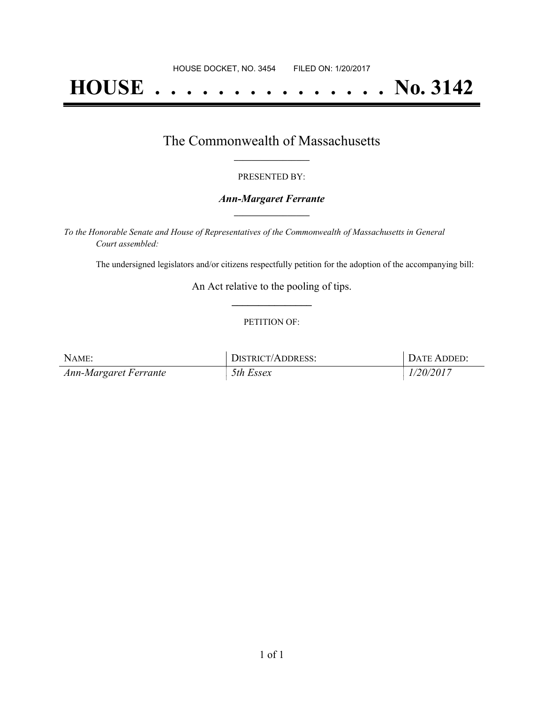# **HOUSE . . . . . . . . . . . . . . . No. 3142**

## The Commonwealth of Massachusetts **\_\_\_\_\_\_\_\_\_\_\_\_\_\_\_\_\_**

#### PRESENTED BY:

#### *Ann-Margaret Ferrante* **\_\_\_\_\_\_\_\_\_\_\_\_\_\_\_\_\_**

*To the Honorable Senate and House of Representatives of the Commonwealth of Massachusetts in General Court assembled:*

The undersigned legislators and/or citizens respectfully petition for the adoption of the accompanying bill:

An Act relative to the pooling of tips. **\_\_\_\_\_\_\_\_\_\_\_\_\_\_\_**

#### PETITION OF:

| NAME:                 | DISTRICT/ADDRESS: | DATE ADDED: |
|-----------------------|-------------------|-------------|
| Ann-Margaret Ferrante | 5th Essex         | 1/20/2017   |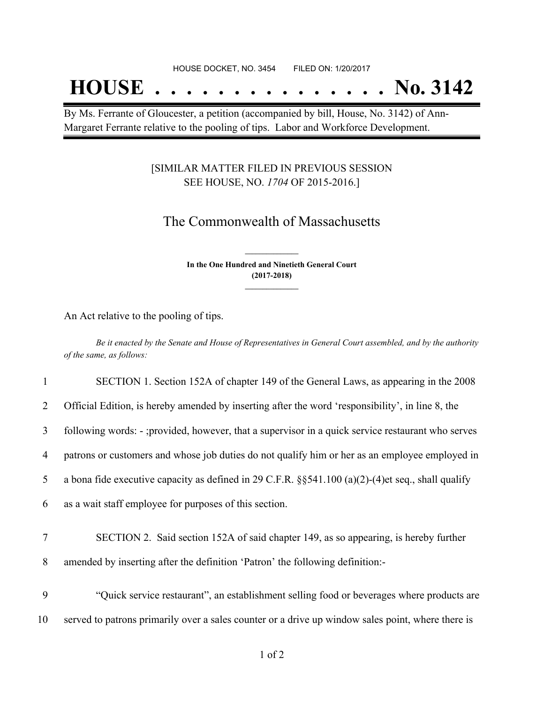## **HOUSE . . . . . . . . . . . . . . . No. 3142**

By Ms. Ferrante of Gloucester, a petition (accompanied by bill, House, No. 3142) of Ann-Margaret Ferrante relative to the pooling of tips. Labor and Workforce Development.

### [SIMILAR MATTER FILED IN PREVIOUS SESSION SEE HOUSE, NO. *1704* OF 2015-2016.]

## The Commonwealth of Massachusetts

**In the One Hundred and Ninetieth General Court (2017-2018) \_\_\_\_\_\_\_\_\_\_\_\_\_\_\_**

**\_\_\_\_\_\_\_\_\_\_\_\_\_\_\_**

An Act relative to the pooling of tips.

Be it enacted by the Senate and House of Representatives in General Court assembled, and by the authority *of the same, as follows:*

| 1  | SECTION 1. Section 152A of chapter 149 of the General Laws, as appearing in the 2008                  |
|----|-------------------------------------------------------------------------------------------------------|
| 2  | Official Edition, is hereby amended by inserting after the word 'responsibility', in line 8, the      |
| 3  | following words: - ;provided, however, that a supervisor in a quick service restaurant who serves     |
| 4  | patrons or customers and whose job duties do not qualify him or her as an employee employed in        |
| 5  | a bona fide executive capacity as defined in 29 C.F.R. $\S$ §541.100 (a)(2)-(4)et seq., shall qualify |
| 6  | as a wait staff employee for purposes of this section.                                                |
| 7  | SECTION 2. Said section 152A of said chapter 149, as so appearing, is hereby further                  |
| 8  | amended by inserting after the definition 'Patron' the following definition:-                         |
| 9  | "Quick service restaurant", an establishment selling food or beverages where products are             |
| 10 | served to patrons primarily over a sales counter or a drive up window sales point, where there is     |